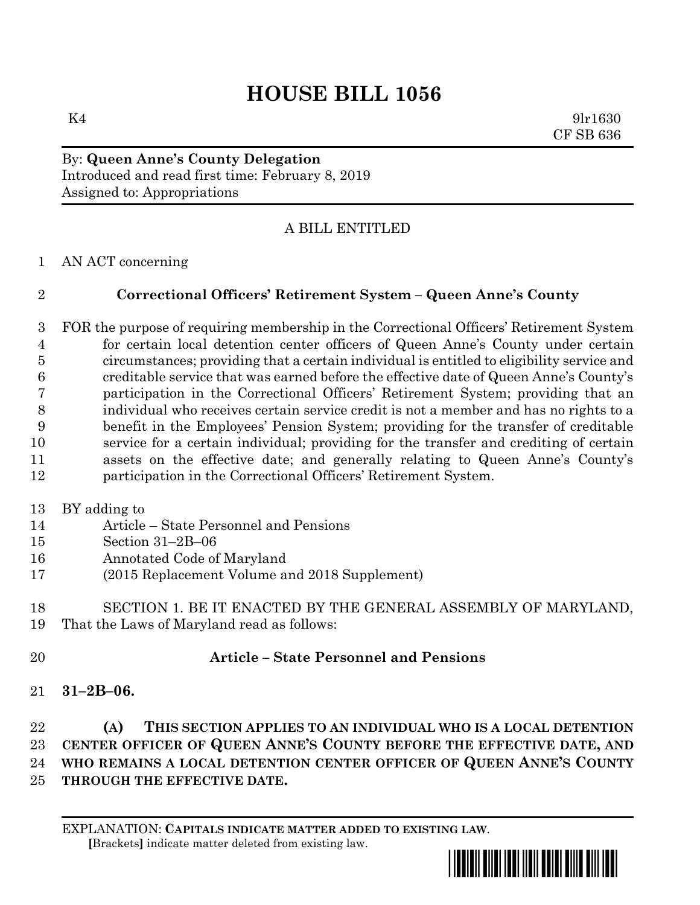## **HOUSE BILL 1056**

 $K4$  9lr1630 CF SB 636

By: **Queen Anne's County Delegation** Introduced and read first time: February 8, 2019 Assigned to: Appropriations

## A BILL ENTITLED

AN ACT concerning

## **Correctional Officers' Retirement System – Queen Anne's County**

 FOR the purpose of requiring membership in the Correctional Officers' Retirement System for certain local detention center officers of Queen Anne's County under certain circumstances; providing that a certain individual is entitled to eligibility service and creditable service that was earned before the effective date of Queen Anne's County's participation in the Correctional Officers' Retirement System; providing that an individual who receives certain service credit is not a member and has no rights to a benefit in the Employees' Pension System; providing for the transfer of creditable service for a certain individual; providing for the transfer and crediting of certain assets on the effective date; and generally relating to Queen Anne's County's participation in the Correctional Officers' Retirement System.

BY adding to

- Article State Personnel and Pensions
- Section 31–2B–06
- Annotated Code of Maryland
- (2015 Replacement Volume and 2018 Supplement)
- SECTION 1. BE IT ENACTED BY THE GENERAL ASSEMBLY OF MARYLAND, That the Laws of Maryland read as follows:
- **Article – State Personnel and Pensions**
- **31–2B–06.**

 **(A) THIS SECTION APPLIES TO AN INDIVIDUAL WHO IS A LOCAL DETENTION CENTER OFFICER OF QUEEN ANNE'S COUNTY BEFORE THE EFFECTIVE DATE, AND WHO REMAINS A LOCAL DETENTION CENTER OFFICER OF QUEEN ANNE'S COUNTY THROUGH THE EFFECTIVE DATE.**